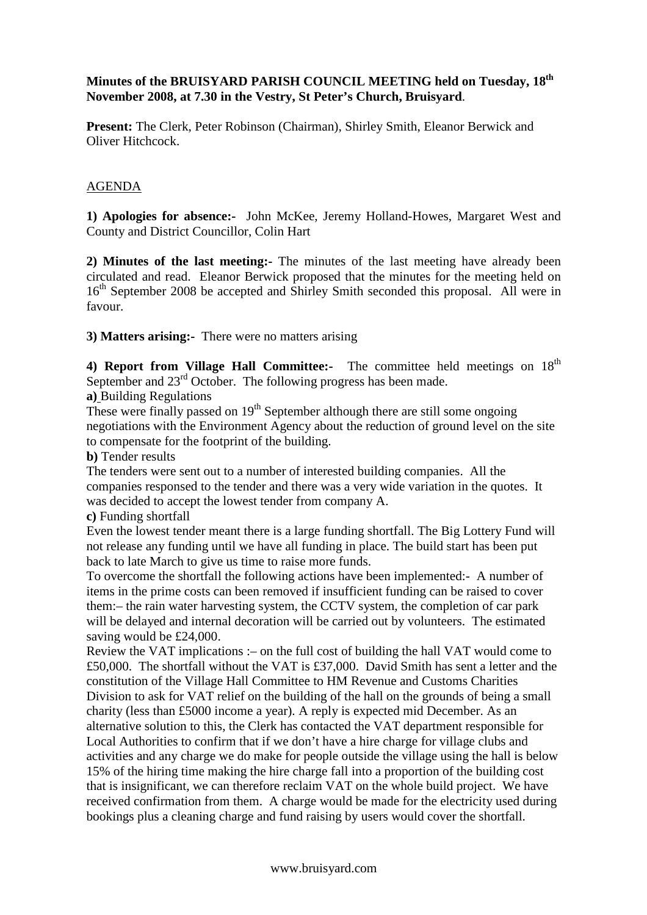## **Minutes of the BRUISYARD PARISH COUNCIL MEETING held on Tuesday, 18th November 2008, at 7.30 in the Vestry, St Peter's Church, Bruisyard**.

**Present:** The Clerk, Peter Robinson (Chairman), Shirley Smith, Eleanor Berwick and Oliver Hitchcock.

## AGENDA

**1) Apologies for absence:-** John McKee, Jeremy Holland-Howes, Margaret West and County and District Councillor, Colin Hart

**2) Minutes of the last meeting:-** The minutes of the last meeting have already been circulated and read. Eleanor Berwick proposed that the minutes for the meeting held on 16<sup>th</sup> September 2008 be accepted and Shirley Smith seconded this proposal. All were in favour.

**3) Matters arising:-** There were no matters arising

4) Report from Village Hall Committee:- The committee held meetings on 18<sup>th</sup> September and 23<sup>rd</sup> October. The following progress has been made.

**a)** Building Regulations

These were finally passed on  $19<sup>th</sup>$  September although there are still some ongoing negotiations with the Environment Agency about the reduction of ground level on the site to compensate for the footprint of the building.

**b)** Tender results

The tenders were sent out to a number of interested building companies. All the companies responsed to the tender and there was a very wide variation in the quotes. It was decided to accept the lowest tender from company A.

**c)** Funding shortfall

Even the lowest tender meant there is a large funding shortfall. The Big Lottery Fund will not release any funding until we have all funding in place. The build start has been put back to late March to give us time to raise more funds.

To overcome the shortfall the following actions have been implemented:- A number of items in the prime costs can been removed if insufficient funding can be raised to cover them:– the rain water harvesting system, the CCTV system, the completion of car park will be delayed and internal decoration will be carried out by volunteers. The estimated saving would be £24,000.

Review the VAT implications :– on the full cost of building the hall VAT would come to £50,000. The shortfall without the VAT is £37,000. David Smith has sent a letter and the constitution of the Village Hall Committee to HM Revenue and Customs Charities Division to ask for VAT relief on the building of the hall on the grounds of being a small charity (less than £5000 income a year). A reply is expected mid December. As an alternative solution to this, the Clerk has contacted the VAT department responsible for Local Authorities to confirm that if we don't have a hire charge for village clubs and activities and any charge we do make for people outside the village using the hall is below 15% of the hiring time making the hire charge fall into a proportion of the building cost that is insignificant, we can therefore reclaim VAT on the whole build project. We have received confirmation from them. A charge would be made for the electricity used during bookings plus a cleaning charge and fund raising by users would cover the shortfall.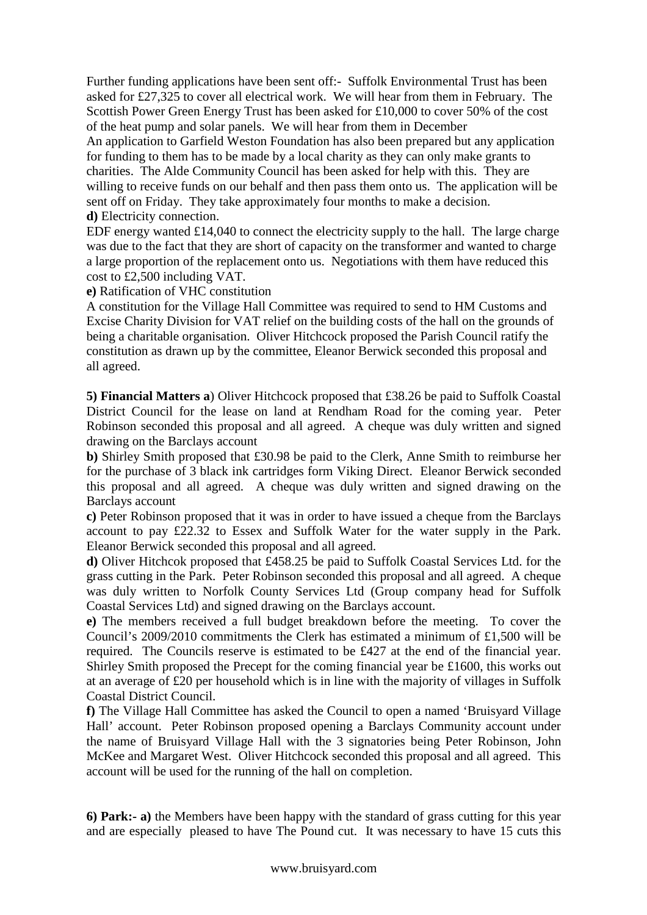Further funding applications have been sent off:- Suffolk Environmental Trust has been asked for £27,325 to cover all electrical work. We will hear from them in February. The Scottish Power Green Energy Trust has been asked for £10,000 to cover 50% of the cost of the heat pump and solar panels. We will hear from them in December

An application to Garfield Weston Foundation has also been prepared but any application for funding to them has to be made by a local charity as they can only make grants to charities. The Alde Community Council has been asked for help with this. They are willing to receive funds on our behalf and then pass them onto us. The application will be sent off on Friday. They take approximately four months to make a decision. **d)** Electricity connection.

EDF energy wanted £14,040 to connect the electricity supply to the hall. The large charge was due to the fact that they are short of capacity on the transformer and wanted to charge a large proportion of the replacement onto us. Negotiations with them have reduced this cost to £2,500 including VAT.

**e)** Ratification of VHC constitution

A constitution for the Village Hall Committee was required to send to HM Customs and Excise Charity Division for VAT relief on the building costs of the hall on the grounds of being a charitable organisation. Oliver Hitchcock proposed the Parish Council ratify the constitution as drawn up by the committee, Eleanor Berwick seconded this proposal and all agreed.

**5) Financial Matters a**) Oliver Hitchcock proposed that £38.26 be paid to Suffolk Coastal District Council for the lease on land at Rendham Road for the coming year. Peter Robinson seconded this proposal and all agreed. A cheque was duly written and signed drawing on the Barclays account

**b)** Shirley Smith proposed that £30.98 be paid to the Clerk, Anne Smith to reimburse her for the purchase of 3 black ink cartridges form Viking Direct. Eleanor Berwick seconded this proposal and all agreed. A cheque was duly written and signed drawing on the Barclays account

**c)** Peter Robinson proposed that it was in order to have issued a cheque from the Barclays account to pay £22.32 to Essex and Suffolk Water for the water supply in the Park. Eleanor Berwick seconded this proposal and all agreed.

**d)** Oliver Hitchcok proposed that £458.25 be paid to Suffolk Coastal Services Ltd. for the grass cutting in the Park. Peter Robinson seconded this proposal and all agreed. A cheque was duly written to Norfolk County Services Ltd (Group company head for Suffolk Coastal Services Ltd) and signed drawing on the Barclays account.

**e)** The members received a full budget breakdown before the meeting. To cover the Council's 2009/2010 commitments the Clerk has estimated a minimum of £1,500 will be required. The Councils reserve is estimated to be £427 at the end of the financial year. Shirley Smith proposed the Precept for the coming financial year be £1600, this works out at an average of £20 per household which is in line with the majority of villages in Suffolk Coastal District Council.

**f)** The Village Hall Committee has asked the Council to open a named 'Bruisyard Village Hall' account. Peter Robinson proposed opening a Barclays Community account under the name of Bruisyard Village Hall with the 3 signatories being Peter Robinson, John McKee and Margaret West. Oliver Hitchcock seconded this proposal and all agreed. This account will be used for the running of the hall on completion.

**6) Park:- a)** the Members have been happy with the standard of grass cutting for this year and are especially pleased to have The Pound cut. It was necessary to have 15 cuts this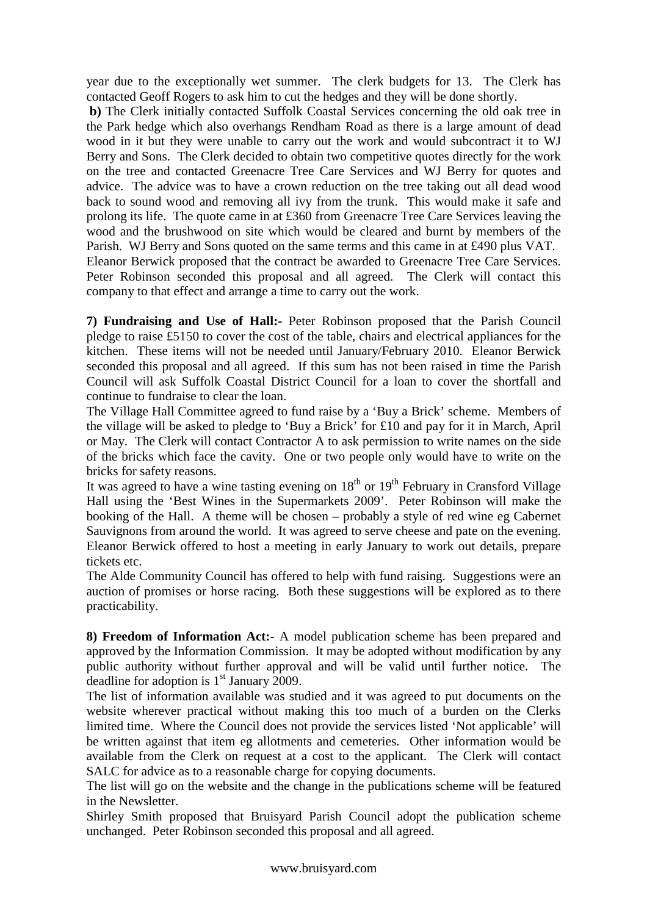year due to the exceptionally wet summer. The clerk budgets for 13. The Clerk has contacted Geoff Rogers to ask him to cut the hedges and they will be done shortly.

**b)** The Clerk initially contacted Suffolk Coastal Services concerning the old oak tree in the Park hedge which also overhangs Rendham Road as there is a large amount of dead wood in it but they were unable to carry out the work and would subcontract it to WJ Berry and Sons. The Clerk decided to obtain two competitive quotes directly for the work on the tree and contacted Greenacre Tree Care Services and WJ Berry for quotes and advice. The advice was to have a crown reduction on the tree taking out all dead wood back to sound wood and removing all ivy from the trunk. This would make it safe and prolong its life. The quote came in at £360 from Greenacre Tree Care Services leaving the wood and the brushwood on site which would be cleared and burnt by members of the Parish. WJ Berry and Sons quoted on the same terms and this came in at £490 plus VAT. Eleanor Berwick proposed that the contract be awarded to Greenacre Tree Care Services. Peter Robinson seconded this proposal and all agreed. The Clerk will contact this company to that effect and arrange a time to carry out the work.

**7) Fundraising and Use of Hall:-** Peter Robinson proposed that the Parish Council pledge to raise £5150 to cover the cost of the table, chairs and electrical appliances for the kitchen. These items will not be needed until January/February 2010. Eleanor Berwick seconded this proposal and all agreed. If this sum has not been raised in time the Parish Council will ask Suffolk Coastal District Council for a loan to cover the shortfall and continue to fundraise to clear the loan.

The Village Hall Committee agreed to fund raise by a 'Buy a Brick' scheme. Members of the village will be asked to pledge to 'Buy a Brick' for £10 and pay for it in March, April or May. The Clerk will contact Contractor A to ask permission to write names on the side of the bricks which face the cavity. One or two people only would have to write on the bricks for safety reasons.

It was agreed to have a wine tasting evening on  $18<sup>th</sup>$  or  $19<sup>th</sup>$  February in Cransford Village Hall using the 'Best Wines in the Supermarkets 2009'. Peter Robinson will make the booking of the Hall. A theme will be chosen – probably a style of red wine eg Cabernet Sauvignons from around the world. It was agreed to serve cheese and pate on the evening. Eleanor Berwick offered to host a meeting in early January to work out details, prepare tickets etc.

The Alde Community Council has offered to help with fund raising. Suggestions were an auction of promises or horse racing. Both these suggestions will be explored as to there practicability.

**8) Freedom of Information Act:-** A model publication scheme has been prepared and approved by the Information Commission. It may be adopted without modification by any public authority without further approval and will be valid until further notice. The deadline for adoption is  $1<sup>st</sup>$  January 2009.

The list of information available was studied and it was agreed to put documents on the website wherever practical without making this too much of a burden on the Clerks limited time. Where the Council does not provide the services listed 'Not applicable' will be written against that item eg allotments and cemeteries. Other information would be available from the Clerk on request at a cost to the applicant. The Clerk will contact SALC for advice as to a reasonable charge for copying documents.

The list will go on the website and the change in the publications scheme will be featured in the Newsletter.

Shirley Smith proposed that Bruisyard Parish Council adopt the publication scheme unchanged. Peter Robinson seconded this proposal and all agreed.